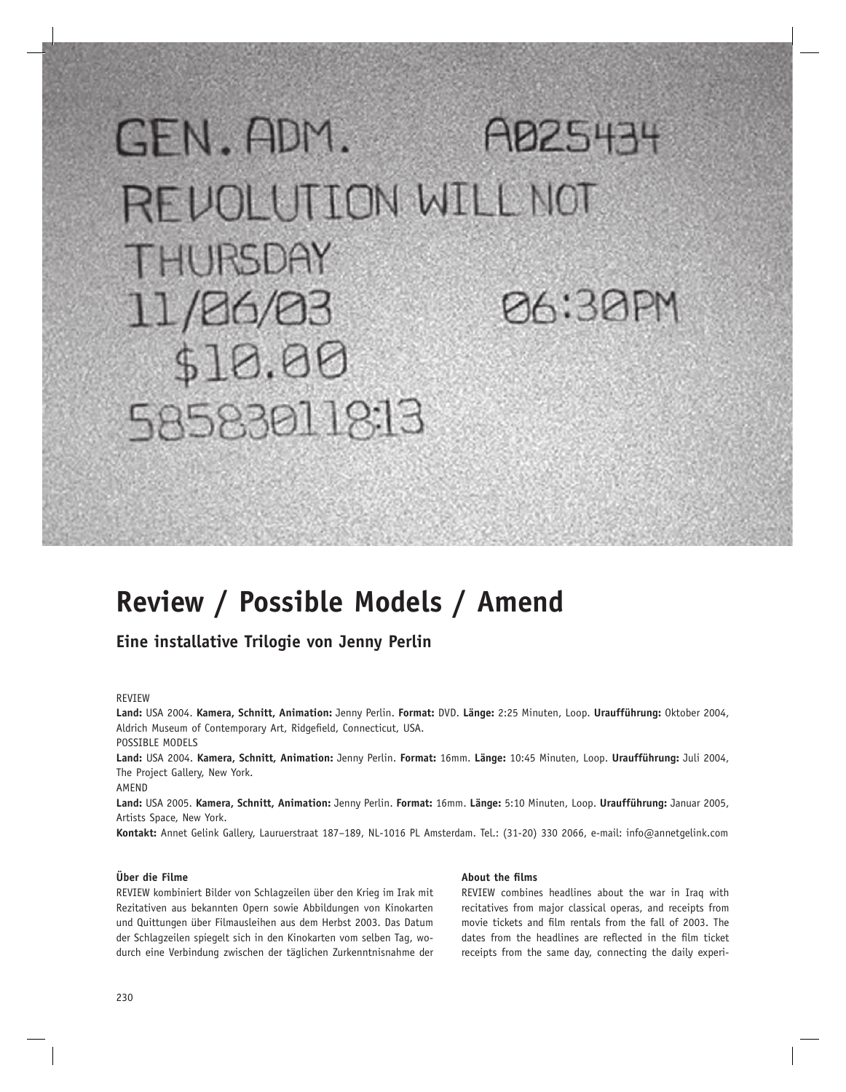# GEN.ADM. AD25434 REVOLUTION WILL NOT THURSDAY **126:30PM** 11/26/03 \$10.00 585830118:13

## **Review / Possible Models / Amend**

### **Eine installative Trilogie von Jenny Perlin**

#### REVIEW

**Land:** USA 2004. **Kamera, Schnitt, Animation:** Jenny Perlin. **Format:** DVD. **Länge:** 2:25 Minuten, Loop. **Uraufführung:** Oktober 2004, Aldrich Museum of Contemporary Art, Ridgefield, Connecticut, USA.

POSSIBLE MODELS

**Land:** USA 2004. **Kamera, Schnitt, Animation:** Jenny Perlin. **Format:** 16mm. **Länge:** 10:45 Minuten, Loop. **Uraufführung:** Juli 2004, The Project Gallery, New York.

AMEND

**Land:** USA 2005. **Kamera, Schnitt, Animation:** Jenny Perlin. **Format:** 16mm. **Länge:** 5:10 Minuten, Loop. **Uraufführung:** Januar 2005, Artists Space, New York.

**Kontakt:** Annet Gelink Gallery, Lauruerstraat 187–189, NL-1016 PL Amsterdam. Tel.: (31-20) 330 2066, e-mail: info@annetgelink.com

#### **Über die Filme**

REVIEW kombiniert Bilder von Schlagzeilen über den Krieg im Irak mit Rezitativen aus bekannten Opern sowie Abbildungen von Kinokarten und Quittungen über Filmausleihen aus dem Herbst 2003. Das Datum der Schlagzeilen spiegelt sich in den Kinokarten vom selben Tag, wodurch eine Verbindung zwischen der täglichen Zurkenntnisnahme der

#### **About the films**

REVIEW combines headlines about the war in Iraq with recitatives from major classical operas, and receipts from movie tickets and film rentals from the fall of 2003. The dates from the headlines are reflected in the film ticket receipts from the same day, connecting the daily experi-